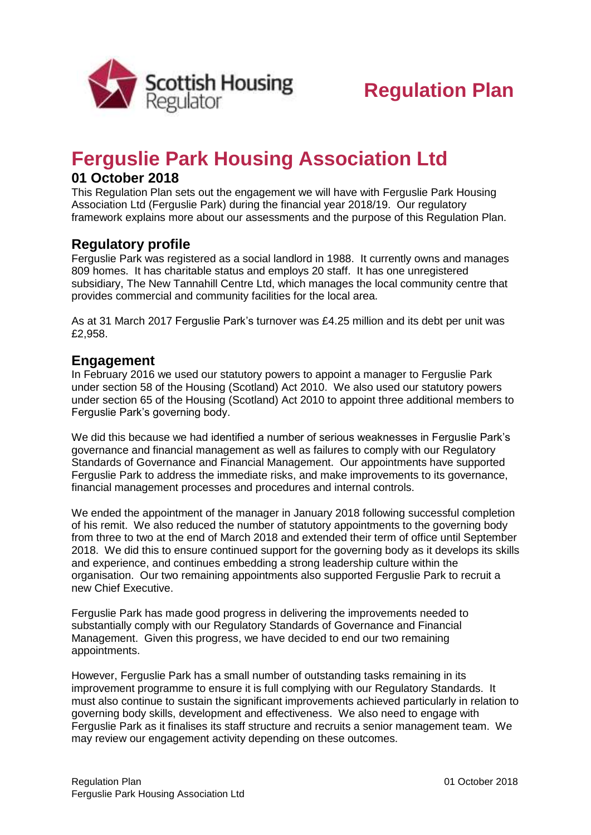

# **Ferguslie Park Housing Association Ltd**

## **01 October 2018**

This Regulation Plan sets out the engagement we will have with Ferguslie Park Housing Association Ltd (Ferguslie Park) during the financial year 2018/19. Our regulatory framework explains more about our assessments and the purpose of this Regulation Plan.

#### **Regulatory profile**

Ferguslie Park was registered as a social landlord in 1988. It currently owns and manages 809 homes. It has charitable status and employs 20 staff. It has one unregistered subsidiary, The New Tannahill Centre Ltd, which manages the local community centre that provides commercial and community facilities for the local area.

As at 31 March 2017 Ferguslie Park's turnover was £4.25 million and its debt per unit was £2,958.

#### **Engagement**

In February 2016 we used our statutory powers to appoint a manager to Ferguslie Park under section 58 of the Housing (Scotland) Act 2010. We also used our statutory powers under section 65 of the Housing (Scotland) Act 2010 to appoint three additional members to Ferguslie Park's governing body.

We did this because we had identified a number of serious weaknesses in Ferguslie Park's governance and financial management as well as failures to comply with our Regulatory Standards of Governance and Financial Management. Our appointments have supported Ferguslie Park to address the immediate risks, and make improvements to its governance, financial management processes and procedures and internal controls.

We ended the appointment of the manager in January 2018 following successful completion of his remit. We also reduced the number of statutory appointments to the governing body from three to two at the end of March 2018 and extended their term of office until September 2018. We did this to ensure continued support for the governing body as it develops its skills and experience, and continues embedding a strong leadership culture within the organisation. Our two remaining appointments also supported Ferguslie Park to recruit a new Chief Executive.

Ferguslie Park has made good progress in delivering the improvements needed to substantially comply with our Regulatory Standards of Governance and Financial Management. Given this progress, we have decided to end our two remaining appointments.

However, Ferguslie Park has a small number of outstanding tasks remaining in its improvement programme to ensure it is full complying with our Regulatory Standards. It must also continue to sustain the significant improvements achieved particularly in relation to governing body skills, development and effectiveness. We also need to engage with Ferguslie Park as it finalises its staff structure and recruits a senior management team. We may review our engagement activity depending on these outcomes.